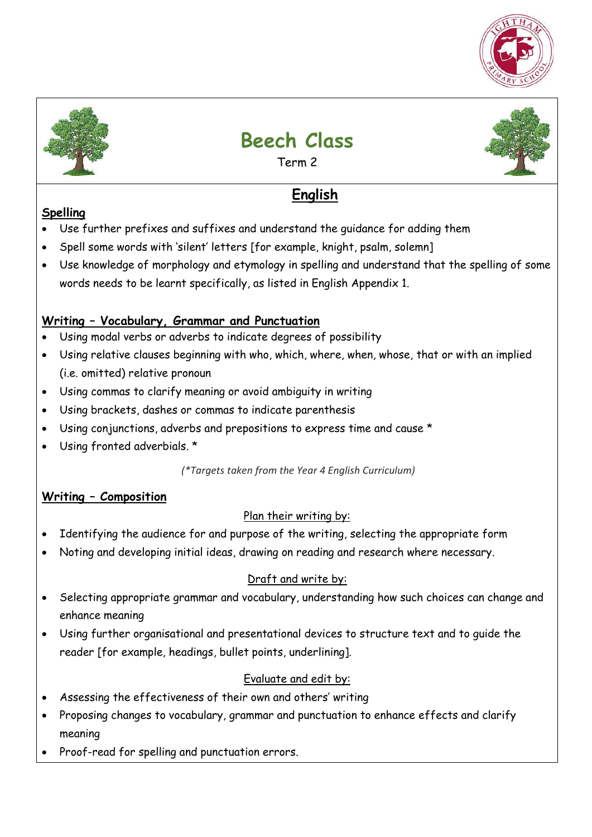



# **Beech Class**

Term 2

## **English**

## **Spelling**

- Use further prefixes and suffixes and understand the guidance for adding them
- Spell some words with 'silent' letters [for example, knight, psalm, solemn]
- Use knowledge of morphology and etymology in spelling and understand that the spelling of some words needs to be learnt specifically, as listed in English Appendix 1.

## **Writing – Vocabulary, Grammar and Punctuation**

- Using modal verbs or adverbs to indicate degrees of possibility
- Using relative clauses beginning with who, which, where, when, whose, that or with an implied (i.e. omitted) relative pronoun
- Using commas to clarify meaning or avoid ambiguity in writing
- Using brackets, dashes or commas to indicate parenthesis
- Using conjunctions, adverbs and prepositions to express time and cause \*
- Using fronted adverbials. \*

*(\*Targets taken from the Year 4 English Curriculum)* 

## **Writing – Composition**

## Plan their writing by:

- Identifying the audience for and purpose of the writing, selecting the appropriate form
- Noting and developing initial ideas, drawing on reading and research where necessary.

## Draft and write by:

- Selecting appropriate grammar and vocabulary, understanding how such choices can change and enhance meaning
- Using further organisational and presentational devices to structure text and to guide the reader [for example, headings, bullet points, underlining].

## Evaluate and edit by:

- Assessing the effectiveness of their own and others' writing
- Proposing changes to vocabulary, grammar and punctuation to enhance effects and clarify meaning
- Proof-read for spelling and punctuation errors.

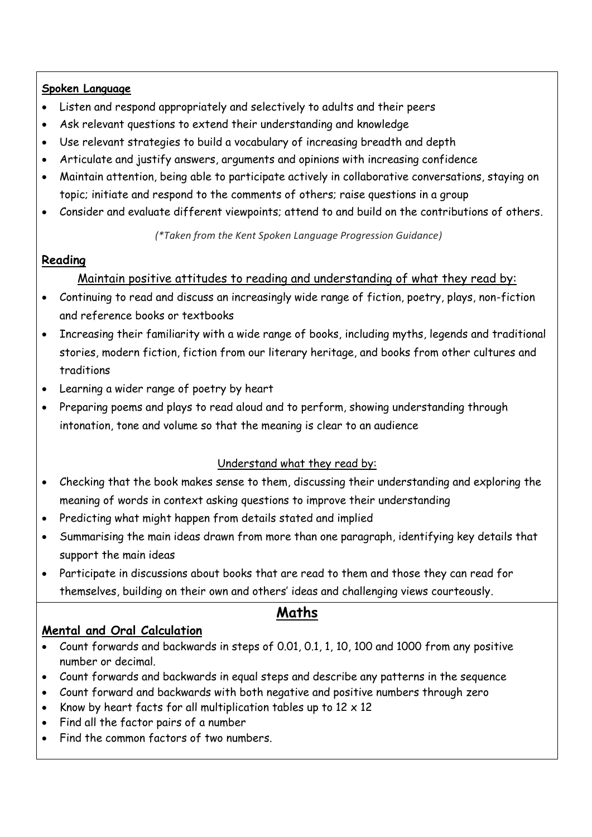#### **Spoken Language**

- Listen and respond appropriately and selectively to adults and their peers
- Ask relevant questions to extend their understanding and knowledge
- Use relevant strategies to build a vocabulary of increasing breadth and depth
- Articulate and justify answers, arguments and opinions with increasing confidence
- Maintain attention, being able to participate actively in collaborative conversations, staying on topic; initiate and respond to the comments of others; raise questions in a group
- Consider and evaluate different viewpoints; attend to and build on the contributions of others.

*(\*Taken from the Kent Spoken Language Progression Guidance)*

#### **Reading**

#### Maintain positive attitudes to reading and understanding of what they read by:

- Continuing to read and discuss an increasingly wide range of fiction, poetry, plays, non-fiction and reference books or textbooks
- Increasing their familiarity with a wide range of books, including myths, legends and traditional stories, modern fiction, fiction from our literary heritage, and books from other cultures and traditions
- Learning a wider range of poetry by heart
- Preparing poems and plays to read aloud and to perform, showing understanding through intonation, tone and volume so that the meaning is clear to an audience

#### Understand what they read by:

- Checking that the book makes sense to them, discussing their understanding and exploring the meaning of words in context asking questions to improve their understanding
- Predicting what might happen from details stated and implied
- Summarising the main ideas drawn from more than one paragraph, identifying key details that support the main ideas
- Participate in discussions about books that are read to them and those they can read for themselves, building on their own and others' ideas and challenging views courteously.

## **Maths**

#### **Mental and Oral Calculation**

- Count forwards and backwards in steps of 0.01, 0.1, 1, 10, 100 and 1000 from any positive number or decimal.
- Count forwards and backwards in equal steps and describe any patterns in the sequence
- Count forward and backwards with both negative and positive numbers through zero
- Know by heart facts for all multiplication tables up to  $12 \times 12$
- Find all the factor pairs of a number
- Find the common factors of two numbers.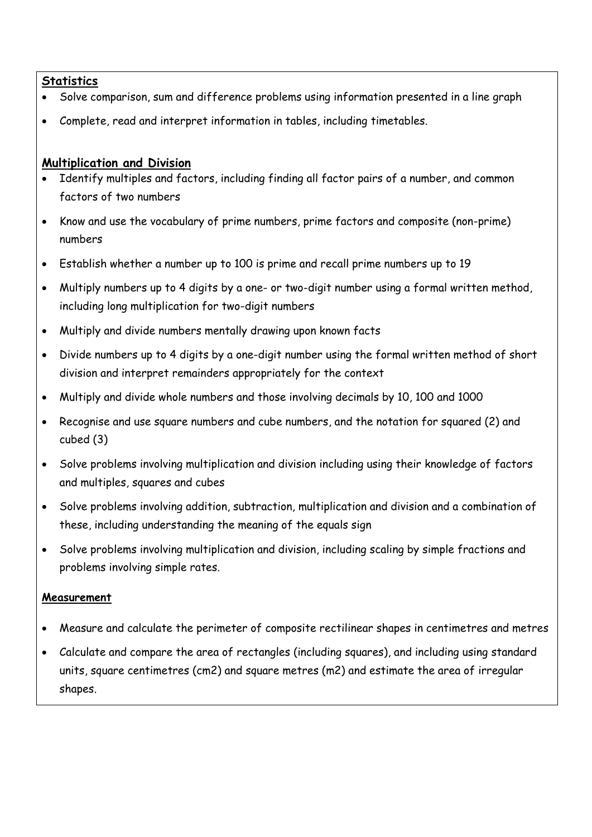#### **Statistics**

- Solve comparison, sum and difference problems using information presented in a line graph
- Complete, read and interpret information in tables, including timetables.

#### **Multiplication and Division**

- Identify multiples and factors, including finding all factor pairs of a number, and common factors of two numbers
- Know and use the vocabulary of prime numbers, prime factors and composite (non-prime) numbers
- Establish whether a number up to 100 is prime and recall prime numbers up to 19
- Multiply numbers up to 4 digits by a one- or two-digit number using a formal written method, including long multiplication for two-digit numbers
- Multiply and divide numbers mentally drawing upon known facts
- Divide numbers up to 4 digits by a one-digit number using the formal written method of short division and interpret remainders appropriately for the context
- Multiply and divide whole numbers and those involving decimals by 10, 100 and 1000
- Recognise and use square numbers and cube numbers, and the notation for squared (2) and cubed (3)
- Solve problems involving multiplication and division including using their knowledge of factors and multiples, squares and cubes
- Solve problems involving addition, subtraction, multiplication and division and a combination of these, including understanding the meaning of the equals sign
- Solve problems involving multiplication and division, including scaling by simple fractions and problems involving simple rates.

#### **Measurement**

- Measure and calculate the perimeter of composite rectilinear shapes in centimetres and metres
- Calculate and compare the area of rectangles (including squares), and including using standard units, square centimetres (cm2) and square metres (m2) and estimate the area of irregular shapes.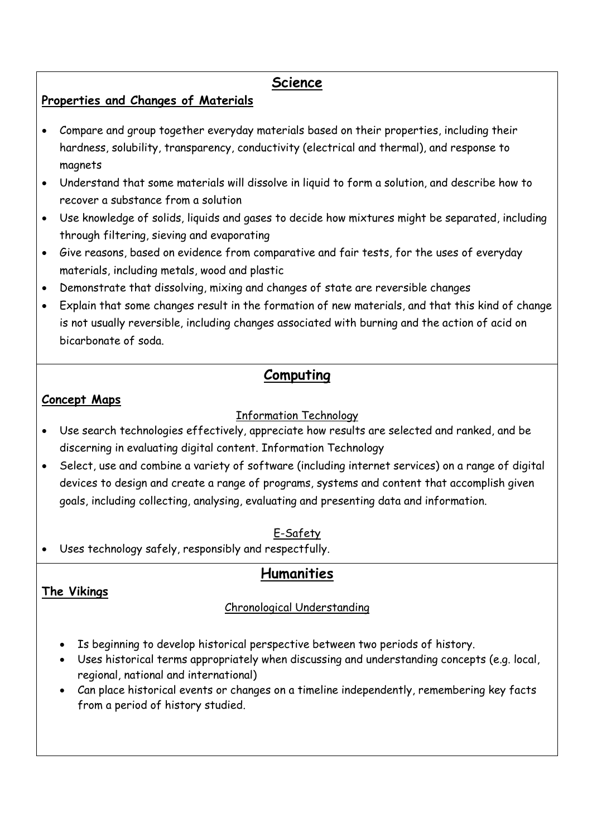#### **Science**

#### **Properties and Changes of Materials**

- Compare and group together everyday materials based on their properties, including their hardness, solubility, transparency, conductivity (electrical and thermal), and response to magnets
- Understand that some materials will dissolve in liquid to form a solution, and describe how to recover a substance from a solution
- Use knowledge of solids, liquids and gases to decide how mixtures might be separated, including through filtering, sieving and evaporating
- Give reasons, based on evidence from comparative and fair tests, for the uses of everyday materials, including metals, wood and plastic
- Demonstrate that dissolving, mixing and changes of state are reversible changes
- Explain that some changes result in the formation of new materials, and that this kind of change is not usually reversible, including changes associated with burning and the action of acid on bicarbonate of soda.

## **Computing**

#### **Concept Maps**

#### Information Technology

- Use search technologies effectively, appreciate how results are selected and ranked, and be discerning in evaluating digital content. Information Technology
- Select, use and combine a variety of software (including internet services) on a range of digital devices to design and create a range of programs, systems and content that accomplish given goals, including collecting, analysing, evaluating and presenting data and information.

#### E-Safety

Uses technology safely, responsibly and respectfully.

## **Humanities**

#### Chronological Understanding

- Is beginning to develop historical perspective between two periods of history.
- Uses historical terms appropriately when discussing and understanding concepts (e.g. local, regional, national and international)
- Can place historical events or changes on a timeline independently, remembering key facts from a period of history studied.

## **The Vikings**